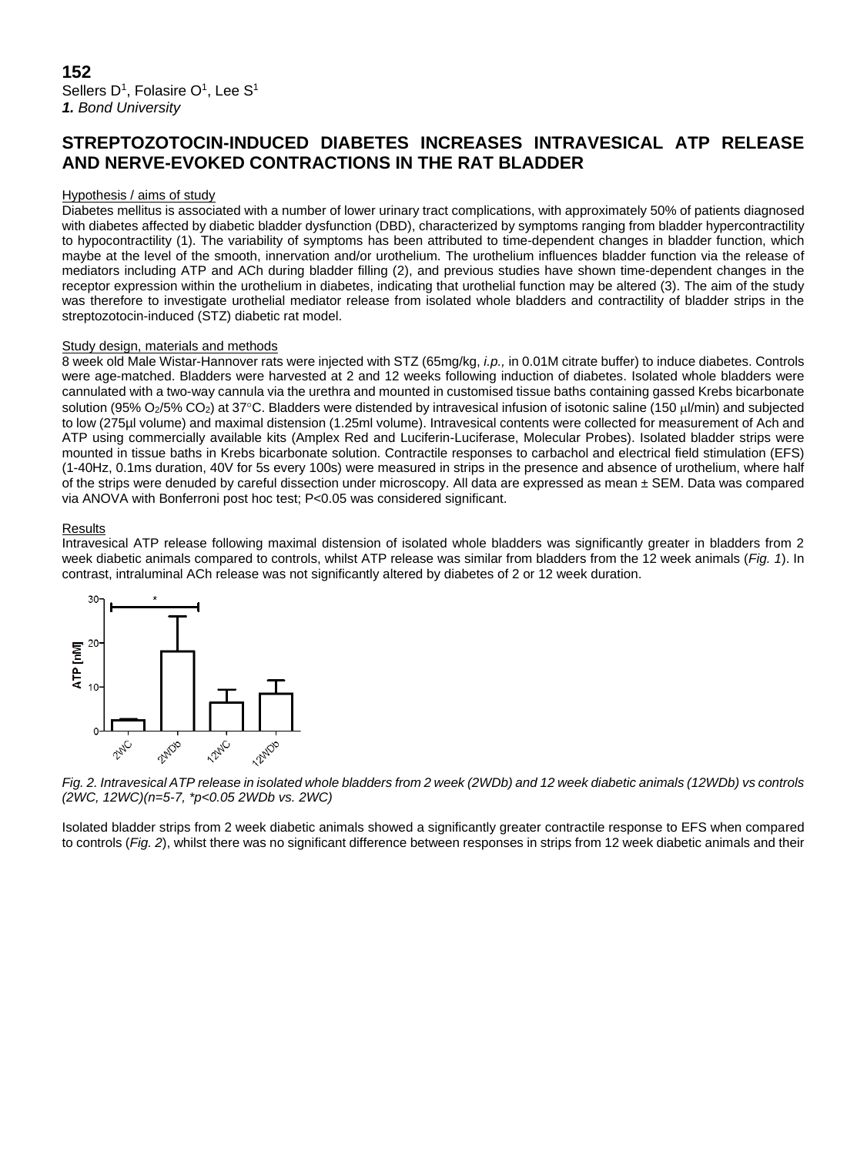# **STREPTOZOTOCIN-INDUCED DIABETES INCREASES INTRAVESICAL ATP RELEASE AND NERVE-EVOKED CONTRACTIONS IN THE RAT BLADDER**

## Hypothesis / aims of study

Diabetes mellitus is associated with a number of lower urinary tract complications, with approximately 50% of patients diagnosed with diabetes affected by diabetic bladder dysfunction (DBD), characterized by symptoms ranging from bladder hypercontractility to hypocontractility (1). The variability of symptoms has been attributed to time-dependent changes in bladder function, which maybe at the level of the smooth, innervation and/or urothelium. The urothelium influences bladder function via the release of mediators including ATP and ACh during bladder filling (2), and previous studies have shown time-dependent changes in the receptor expression within the urothelium in diabetes, indicating that urothelial function may be altered (3). The aim of the study was therefore to investigate urothelial mediator release from isolated whole bladders and contractility of bladder strips in the streptozotocin-induced (STZ) diabetic rat model.

## Study design, materials and methods

8 week old Male Wistar-Hannover rats were injected with STZ (65mg/kg, *i.p.,* in 0.01M citrate buffer) to induce diabetes. Controls were age-matched. Bladders were harvested at 2 and 12 weeks following induction of diabetes. Isolated whole bladders were cannulated with a two-way cannula via the urethra and mounted in customised tissue baths containing gassed Krebs bicarbonate solution (95% O<sub>2</sub>/5% CO<sub>2</sub>) at 37°C. Bladders were distended by intravesical infusion of isotonic saline (150 µl/min) and subjected to low (275µl volume) and maximal distension (1.25ml volume). Intravesical contents were collected for measurement of Ach and ATP using commercially available kits (Amplex Red and Luciferin-Luciferase, Molecular Probes). Isolated bladder strips were mounted in tissue baths in Krebs bicarbonate solution. Contractile responses to carbachol and electrical field stimulation (EFS) (1-40Hz, 0.1ms duration, 40V for 5s every 100s) were measured in strips in the presence and absence of urothelium, where half of the strips were denuded by careful dissection under microscopy. All data are expressed as mean  $\pm$  SEM. Data was compared via ANOVA with Bonferroni post hoc test; P<0.05 was considered significant.

### Results

Intravesical ATP release following maximal distension of isolated whole bladders was significantly greater in bladders from 2 week diabetic animals compared to controls, whilst ATP release was similar from bladders from the 12 week animals (*Fig. 1*). In contrast, intraluminal ACh release was not significantly altered by diabetes of 2 or 12 week duration.



*Fig. 2. Intravesical ATP release in isolated whole bladders from 2 week (2WDb) and 12 week diabetic animals (12WDb) vs controls (2WC, 12WC)(n=5-7, \*p<0.05 2WDb vs. 2WC)*

Isolated bladder strips from 2 week diabetic animals showed a significantly greater contractile response to EFS when compared to controls (*Fig. 2*), whilst there was no significant difference between responses in strips from 12 week diabetic animals and their